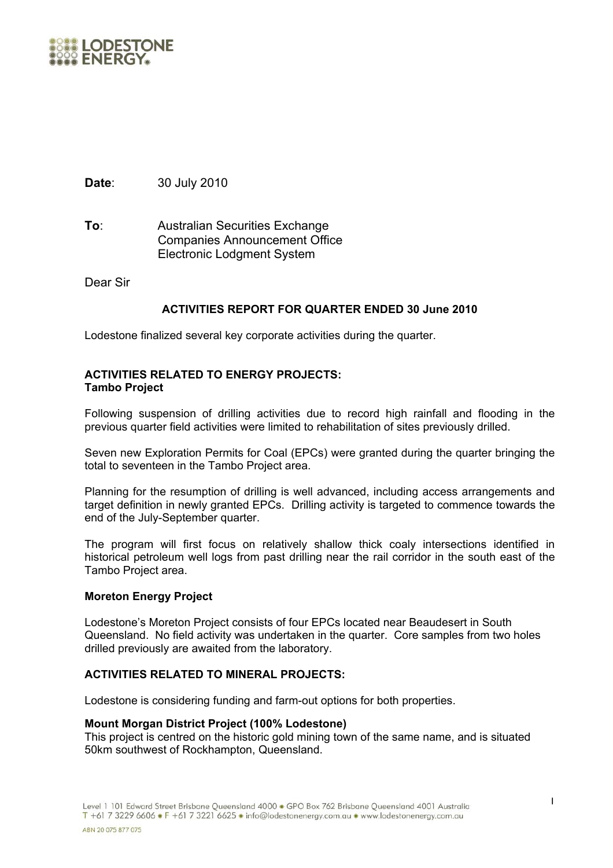

**Date**: 30 July 2010

**To**: Australian Securities Exchange Companies Announcement Office Electronic Lodgment System

Dear Sir

# **ACTIVITIES REPORT FOR QUARTER ENDED 30 June 2010**

Lodestone finalized several key corporate activities during the quarter.

# **ACTIVITIES RELATED TO ENERGY PROJECTS: Tambo Project**

Following suspension of drilling activities due to record high rainfall and flooding in the previous quarter field activities were limited to rehabilitation of sites previously drilled.

Seven new Exploration Permits for Coal (EPCs) were granted during the quarter bringing the total to seventeen in the Tambo Project area.

Planning for the resumption of drilling is well advanced, including access arrangements and target definition in newly granted EPCs. Drilling activity is targeted to commence towards the end of the July-September quarter.

The program will first focus on relatively shallow thick coaly intersections identified in historical petroleum well logs from past drilling near the rail corridor in the south east of the Tambo Project area.

# **Moreton Energy Project**

Lodestone's Moreton Project consists of four EPCs located near Beaudesert in South Queensland. No field activity was undertaken in the quarter. Core samples from two holes drilled previously are awaited from the laboratory.

# **ACTIVITIES RELATED TO MINERAL PROJECTS:**

Lodestone is considering funding and farm-out options for both properties.

#### **Mount Morgan District Project (100% Lodestone)**

This project is centred on the historic gold mining town of the same name, and is situated 50km southwest of Rockhampton, Queensland.